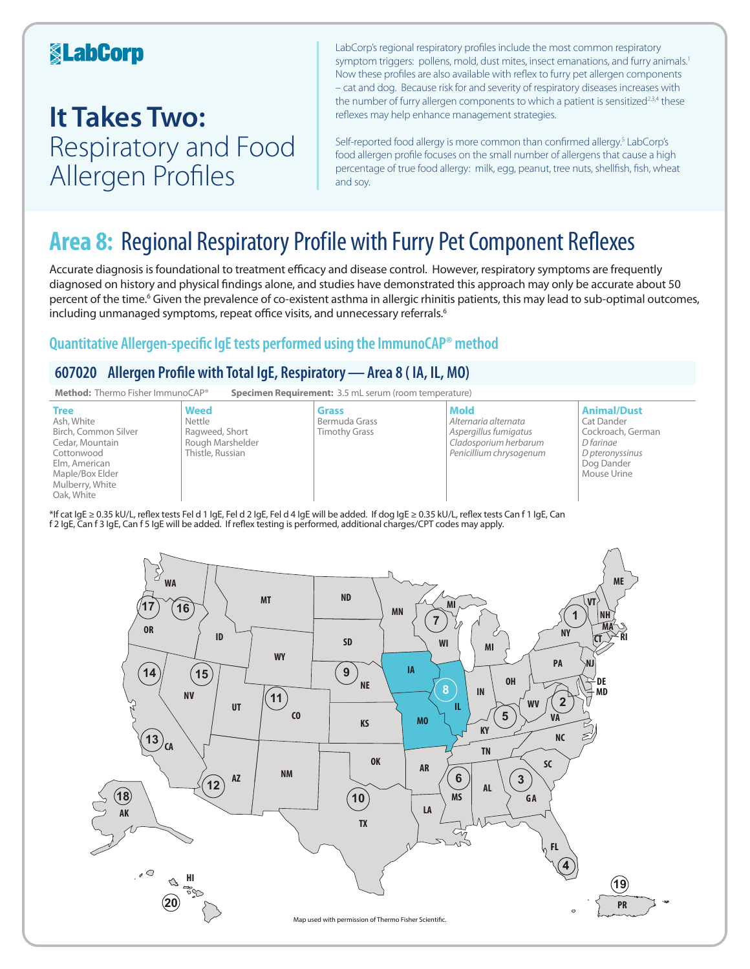## **KabCorp**

## **It Takes Two:**  Respiratory and Food Allergen Profiles

LabCorp's regional respiratory profiles include the most common respiratory symptom triggers: pollens, mold, dust mites, insect emanations, and furry animals.<sup>1</sup> Now these profiles are also available with reflex to furry pet allergen components – cat and dog. Because risk for and severity of respiratory diseases increases with the number of furry allergen components to which a patient is sensitized<sup>2,3,4</sup> these reflexes may help enhance management strategies.

Self-reported food allergy is more common than confirmed allergy.<sup>5</sup> LabCorp's food allergen profile focuses on the small number of allergens that cause a high percentage of true food allergy: milk, egg, peanut, tree nuts, shellfish, fish, wheat and soy.

## **Area 8:** Regional Respiratory Profile with Furry Pet Component Reflexes

Accurate diagnosis is foundational to treatment efficacy and disease control. However, respiratory symptoms are frequently diagnosed on history and physical findings alone, and studies have demonstrated this approach may only be accurate about 50 percent of the time.<sup>6</sup> Given the prevalence of co-existent asthma in allergic rhinitis patients, this may lead to sub-optimal outcomes, including unmanaged symptoms, repeat office visits, and unnecessary referrals.<sup>6</sup>

### **Quantitative Allergen-specific IgE tests performed using the ImmunoCAP® method**

### **607020 Allergen Profile with Total IgE, Respiratory—Area 8 ( IA, IL, MO)**